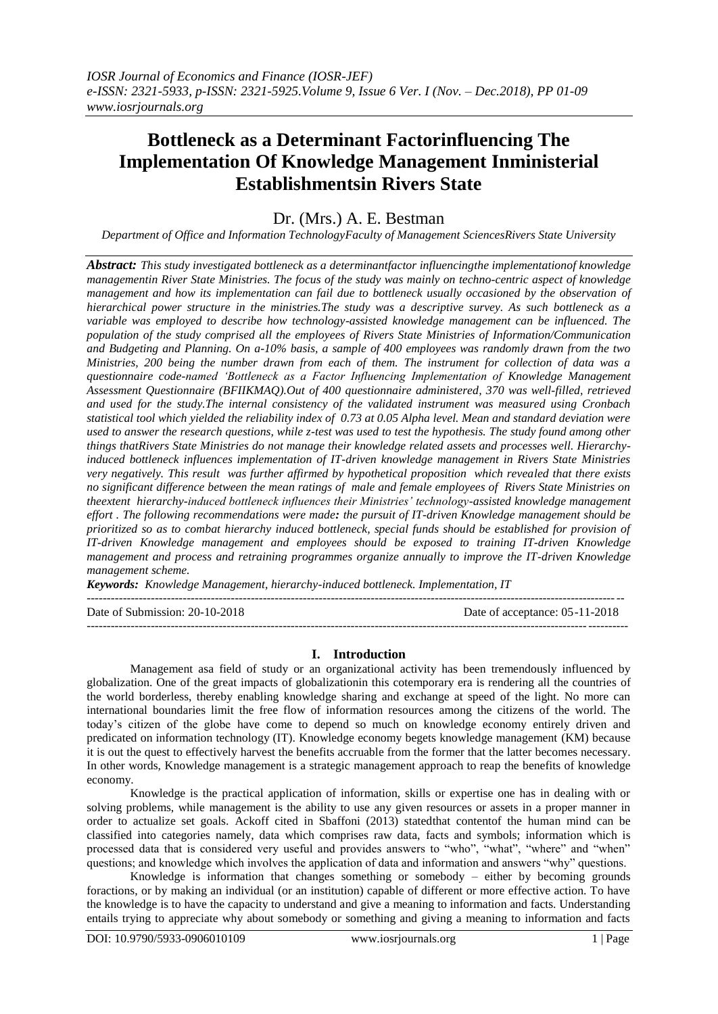# **Bottleneck as a Determinant Factorinfluencing The Implementation Of Knowledge Management Inministerial Establishmentsin Rivers State**

# Dr. (Mrs.) A. E. Bestman

*Department of Office and Information TechnologyFaculty of Management SciencesRivers State University*

*Abstract: This study investigated bottleneck as a determinantfactor influencingthe implementationof knowledge managementin River State Ministries. The focus of the study was mainly on techno-centric aspect of knowledge management and how its implementation can fail due to bottleneck usually occasioned by the observation of hierarchical power structure in the ministries.The study was a descriptive survey. As such bottleneck as a variable was employed to describe how technology-assisted knowledge management can be influenced. The population of the study comprised all the employees of Rivers State Ministries of Information/Communication and Budgeting and Planning. On a-10% basis, a sample of 400 employees was randomly drawn from the two Ministries, 200 being the number drawn from each of them. The instrument for collection of data was a questionnaire code-named 'Bottleneck as a Factor Influencing Implementation of Knowledge Management Assessment Questionnaire (BFIIKMAQ).Out of 400 questionnaire administered, 370 was well-filled, retrieved and used for the study.The internal consistency of the validated instrument was measured using Cronbach statistical tool which yielded the reliability index of 0.73 at 0.05 Alpha level. Mean and standard deviation were used to answer the research questions, while z-test was used to test the hypothesis. The study found among other things thatRivers State Ministries do not manage their knowledge related assets and processes well. Hierarchyinduced bottleneck influences implementation of IT-driven knowledge management in Rivers State Ministries very negatively. This result was further affirmed by hypothetical proposition which revealed that there exists no significant difference between the mean ratings of male and female employees of Rivers State Ministries on theextent hierarchy-induced bottleneck influences their Ministries' technology-assisted knowledge management effort . The following recommendations were made: the pursuit of IT-driven Knowledge management should be prioritized so as to combat hierarchy induced bottleneck, special funds should be established for provision of IT-driven Knowledge management and employees should be exposed to training IT-driven Knowledge management and process and retraining programmes organize annually to improve the IT-driven Knowledge management scheme.*

*Keywords: Knowledge Management, hierarchy-induced bottleneck. Implementation, IT* --------------------------------------------------------------------------------------------------------------------------------------

Date of Submission: 20-10-2018 Date of acceptance: 05-11-2018

# **I. Introduction**

---------------------------------------------------------------------------------------------------------------------------------------

Management asa field of study or an organizational activity has been tremendously influenced by globalization. One of the great impacts of globalizationin this cotemporary era is rendering all the countries of the world borderless, thereby enabling knowledge sharing and exchange at speed of the light. No more can international boundaries limit the free flow of information resources among the citizens of the world. The today"s citizen of the globe have come to depend so much on knowledge economy entirely driven and predicated on information technology (IT). Knowledge economy begets knowledge management (KM) because it is out the quest to effectively harvest the benefits accruable from the former that the latter becomes necessary. In other words, Knowledge management is a strategic management approach to reap the benefits of knowledge economy.

Knowledge is the practical application of information, skills or expertise one has in dealing with or solving problems, while management is the ability to use any given resources or assets in a proper manner in order to actualize set goals. Ackoff cited in Sbaffoni (2013) statedthat contentof the human mind can be classified into categories namely, data which comprises raw data, facts and symbols; information which is processed data that is considered very useful and provides answers to "who", "what", "where" and "when" questions; and knowledge which involves the application of data and information and answers "why" questions.

Knowledge is information that changes something or somebody – either by becoming grounds foractions, or by making an individual (or an institution) capable of different or more effective action. To have the knowledge is to have the capacity to understand and give a meaning to information and facts. Understanding entails trying to appreciate why about somebody or something and giving a meaning to information and facts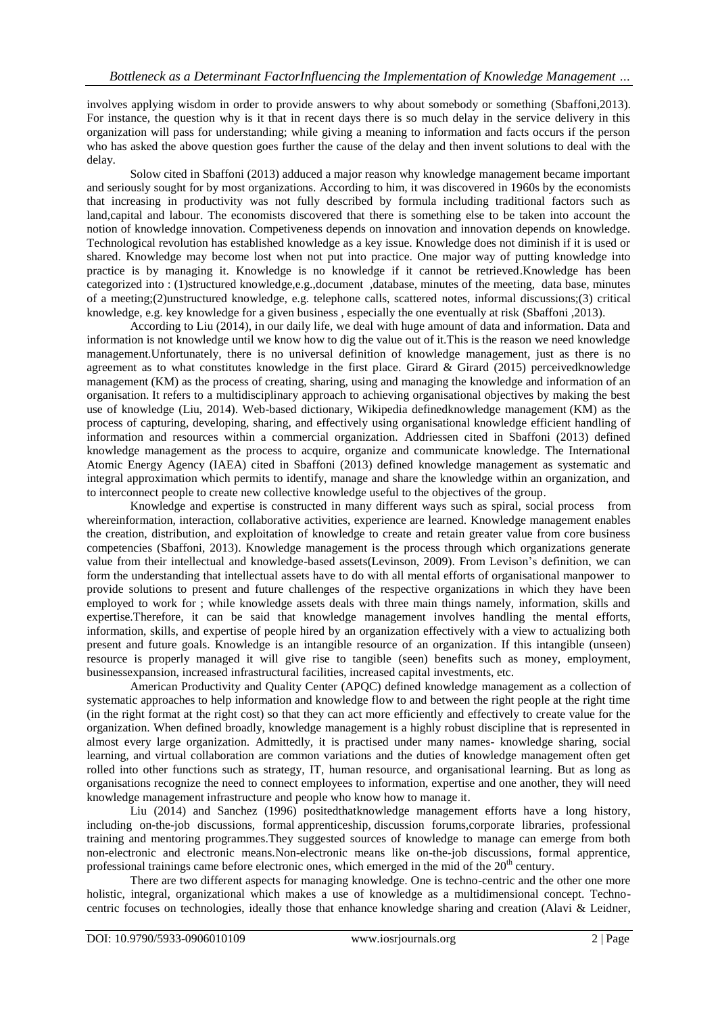involves applying wisdom in order to provide answers to why about somebody or something (Sbaffoni,2013). For instance, the question why is it that in recent days there is so much delay in the service delivery in this organization will pass for understanding; while giving a meaning to information and facts occurs if the person who has asked the above question goes further the cause of the delay and then invent solutions to deal with the delay.

Solow cited in Sbaffoni (2013) adduced a major reason why knowledge management became important and seriously sought for by most organizations. According to him, it was discovered in 1960s by the economists that increasing in productivity was not fully described by formula including traditional factors such as land,capital and labour. The economists discovered that there is something else to be taken into account the notion of knowledge innovation. Competiveness depends on innovation and innovation depends on knowledge. Technological revolution has established knowledge as a key issue. Knowledge does not diminish if it is used or shared. Knowledge may become lost when not put into practice. One major way of putting knowledge into practice is by managing it. Knowledge is no knowledge if it cannot be retrieved.Knowledge has been categorized into : (1)structured knowledge,e.g.,document ,database, minutes of the meeting, data base, minutes of a meeting;(2)unstructured knowledge, e.g. telephone calls, scattered notes, informal discussions;(3) critical knowledge, e.g. key knowledge for a given business , especially the one eventually at risk (Sbaffoni ,2013).

According to Liu (2014), in our daily life, we deal with huge amount of data and information. Data and information is not knowledge until we know how to dig the value out of it.This is the reason we need knowledge management.Unfortunately, there is no universal definition of knowledge management, just as there is no agreement as to what constitutes knowledge in the first place. Girard  $\&$  Girard (2015) perceived knowledge management (KM) as the process of creating, sharing, using and managing the [knowledge](https://en.wikipedia.org/wiki/Knowledge) and information of an organisation. It refers to a multidisciplinary approach to achieving organisational objectives by making the best use of knowledge (Liu, 2014). Web-based dictionary, Wikipedia definedknowledge management (KM) as the process of capturing, developing, sharing, and effectively using organisational knowledge efficient handling of information and resources within a commercial organization. Addriessen cited in Sbaffoni (2013) defined knowledge management as the process to acquire, organize and communicate knowledge. The International Atomic Energy Agency (IAEA) cited in Sbaffoni (2013) defined knowledge management as systematic and integral approximation which permits to identify, manage and share the knowledge within an organization, and to interconnect people to create new collective knowledge useful to the objectives of the group.

Knowledge and expertise is constructed in many different ways such as spiral, social process from whereinformation, interaction, collaborative activities, experience are learned. Knowledge management enables the creation, distribution, and exploitation of knowledge to create and retain greater value from core business competencies (Sbaffoni, 2013). Knowledge management is the process through which organizations generate value from their intellectual and knowledge-based assets(Levinson, 2009). From Levison"s definition, we can form the understanding that intellectual assets have to do with all mental efforts of organisational manpower to provide solutions to present and future challenges of the respective organizations in which they have been employed to work for ; while knowledge assets deals with three main things namely, information, skills and expertise.Therefore, it can be said that knowledge management involves handling the mental efforts, information, skills, and expertise of people hired by an organization effectively with a view to actualizing both present and future goals. Knowledge is an intangible resource of an organization. If this intangible (unseen) resource is properly managed it will give rise to tangible (seen) benefits such as money, employment, businessexpansion, increased infrastructural facilities, increased capital investments, etc.

American Productivity and Quality Center (APQC) defined knowledge management as a collection of systematic approaches to help information and knowledge flow to and between the right people at the right time (in the right format at the right cost) so that they can act more efficiently and effectively to create value for the organization. When defined broadly, knowledge management is a highly robust discipline that is represented in almost every large organization. Admittedly, it is practised under many names- knowledge sharing, social learning, and virtual collaboration are common variations and the duties of knowledge management often get rolled into other functions such as strategy, IT, human resource, and organisational learning. But as long as organisations recognize the need to connect employees to information, expertise and one another, they will need knowledge management infrastructure and people who know how to manage it.

Liu (2014) and Sanchez (1996) positedthatknowledge management efforts have a long history, including on-the-job discussions, formal [apprenticeship,](https://en.wikipedia.org/wiki/Apprenticeship) [discussion forums,](https://en.wikipedia.org/wiki/Internet_forum)corporate libraries, professional training and mentoring programmes.They suggested sources of knowledge to manage can emerge from both non-electronic and electronic means.Non-electronic means like on-the-job discussions, formal apprentice, professional trainings came before electronic ones, which emerged in the mid of the 20<sup>th</sup> century.

There are two different aspects for managing knowledge. One is techno-centric and the other one more holistic, integral, organizational which makes a use of knowledge as a multidimensional concept. Technocentric focuses on technologies, ideally those that enhance [knowledge sharing](https://en.wikipedia.org/wiki/Knowledge_sharing) and creation (Alavi & Leidner,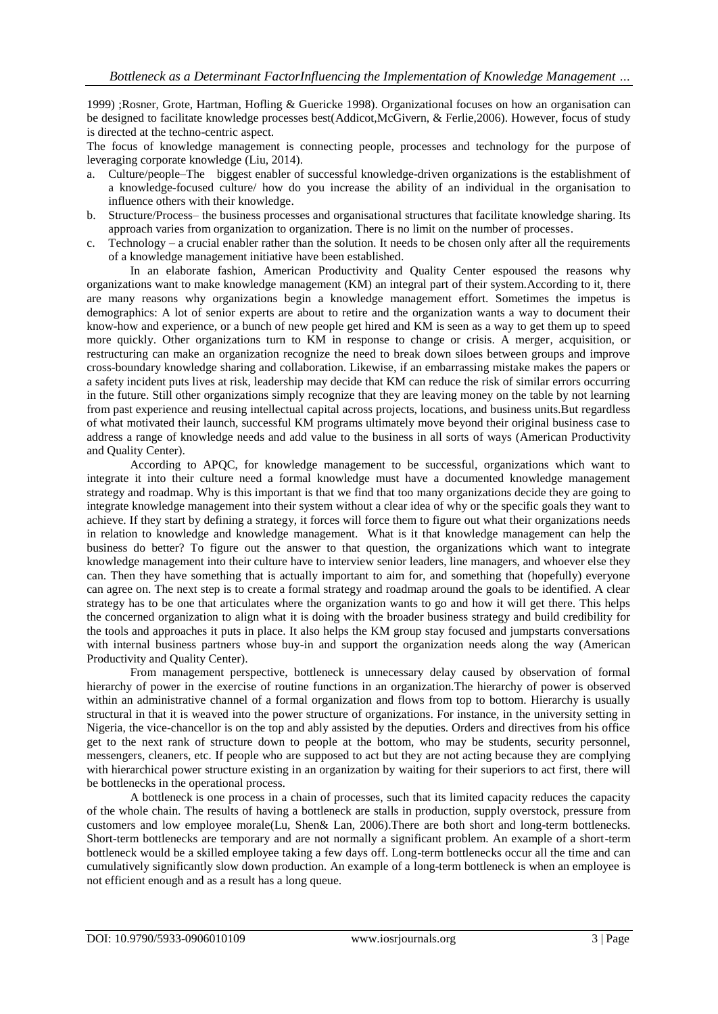1999) ;Rosner, Grote, Hartman, Hofling & Guericke 1998). Organizational focuses on how an organisation can be designed to facilitate knowledge processes best(Addicot,McGivern, & Ferlie,2006). However, focus of study is directed at the techno-centric aspect.

The focus of knowledge management is connecting people, processes and technology for the purpose of leveraging corporate knowledge (Liu, 2014).

- a. Culture/people–The biggest enabler of successful knowledge-driven organizations is the establishment of a knowledge-focused culture/ how do you increase the ability of an individual in the organisation to influence others with their knowledge.
- b. Structure/Process– the business processes and organisational structures that facilitate knowledge sharing. Its approach varies from organization to organization. There is no limit on the number of processes.
- c. Technology a crucial enabler rather than the solution. It needs to be chosen only after all the requirements of a knowledge management initiative have been established.

In an elaborate fashion, American Productivity and Quality Center espoused the reasons why organizations want to make knowledge management (KM) an integral part of their system.According to it, there are many reasons why organizations begin a knowledge management effort. Sometimes the impetus is demographics: A lot of senior experts are about to retire and the organization wants a way to document their know-how and experience, or a bunch of new people get hired and KM is seen as a way to get them up to speed more quickly. Other organizations turn to KM in response to change or crisis. A merger, acquisition, or restructuring can make an organization recognize the need to break down siloes between groups and improve cross-boundary knowledge sharing and collaboration. Likewise, if an embarrassing mistake makes the papers or a safety incident puts lives at risk, leadership may decide that KM can reduce the risk of similar errors occurring in the future. Still other organizations simply recognize that they are leaving money on the table by not learning from past experience and reusing intellectual capital across projects, locations, and business units.But regardless of what motivated their launch, successful KM programs ultimately move beyond their original business case to address a range of knowledge needs and add value to the business in all sorts of ways (American Productivity and Quality Center).

According to APQC, for knowledge management to be successful, organizations which want to integrate it into their culture need a formal knowledge must have a documented knowledge management strategy and roadmap. Why is this important is that we find that too many organizations decide they are going to integrate knowledge management into their system without a clear idea of why or the specific goals they want to achieve. If they start by defining a strategy, it forces will force them to figure out what their organizations needs in relation to knowledge and knowledge management. What is it that knowledge management can help the business do better? To figure out the answer to that question, the organizations which want to integrate knowledge management into their culture have to interview senior leaders, line managers, and whoever else they can. Then they have something that is actually important to aim for, and something that (hopefully) everyone can agree on. The next step is to create a formal strategy and roadmap around the goals to be identified. A clear strategy has to be one that articulates where the organization wants to go and how it will get there. This helps the concerned organization to align what it is doing with the broader business strategy and build credibility for the tools and approaches it puts in place. It also helps the KM group stay focused and jumpstarts conversations with internal business partners whose buy-in and support the organization needs along the way (American Productivity and Quality Center).

From management perspective, bottleneck is unnecessary delay caused by observation of formal hierarchy of power in the exercise of routine functions in an organization.The hierarchy of power is observed within an administrative channel of a formal organization and flows from top to bottom. Hierarchy is usually structural in that it is weaved into the power structure of organizations. For instance, in the university setting in Nigeria, the vice-chancellor is on the top and ably assisted by the deputies. Orders and directives from his office get to the next rank of structure down to people at the bottom, who may be students, security personnel, messengers, cleaners, etc. If people who are supposed to act but they are not acting because they are complying with hierarchical power structure existing in an organization by waiting for their superiors to act first, there will be bottlenecks in the operational process.

A bottleneck is one process in a chain of processes, such that its limited capacity reduces the capacity of the whole chain. The results of having a bottleneck are stalls in production, supply overstock, pressure from customers and low employee morale(Lu, Shen& Lan, 2006).There are both short and long-term bottlenecks. Short-term bottlenecks are temporary and are not normally a significant problem. An example of a short-term bottleneck would be a skilled employee taking a few days off. Long-term bottlenecks occur all the time and can cumulatively significantly slow down production. An example of a long-term bottleneck is when an employee is not efficient enough and as a result has a long queue.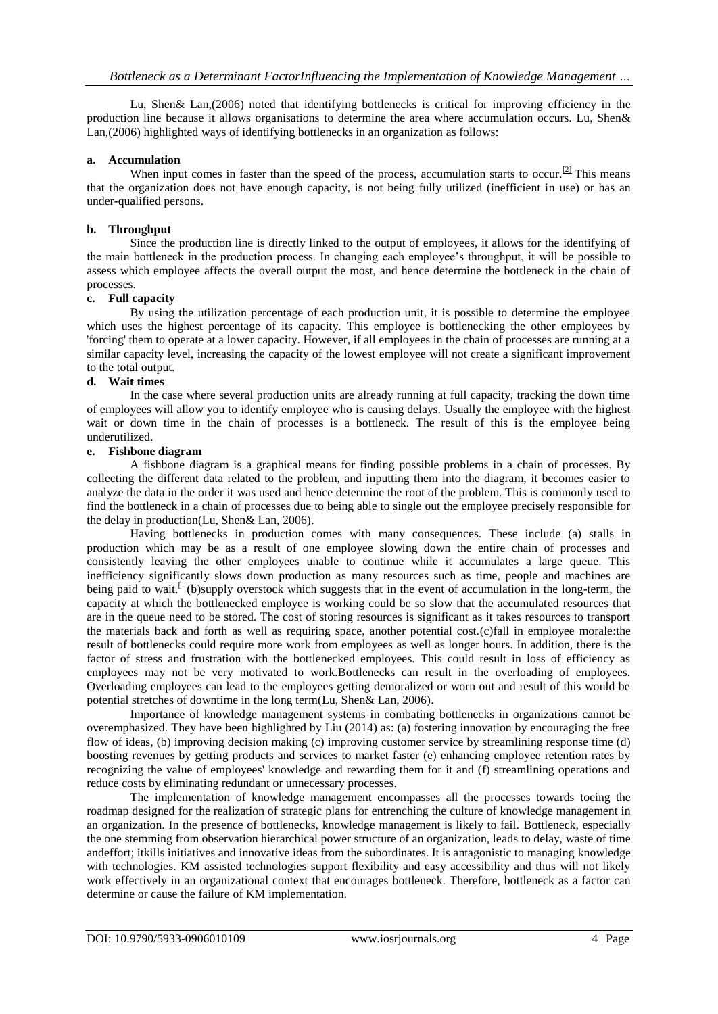Lu, Shen& Lan,(2006) noted that identifying bottlenecks is critical for improving efficiency in the production line because it allows organisations to determine the area where accumulation occurs. Lu, Shen& Lan,(2006) highlighted ways of identifying bottlenecks in an organization as follows:

#### **a. Accumulation**

When input comes in faster than the speed of the process, accumulation starts to occur.<sup>[\[2\]](https://en.wikipedia.org/wiki/Bottleneck_(production)#cite_note-:0-2)</sup> This means that the organization does not have enough capacity, is not being fully utilized (inefficient in use) or has an under-qualified persons.

#### **b. Throughput**

Since the production line is directly linked to the output of employees, it allows for the identifying of the main bottleneck in the production process. In changing each employee"s throughput, it will be possible to assess which employee affects the overall output the most, and hence determine the bottleneck in the chain of processes.

# **c. Full capacity**

By using the utilization percentage of each production unit, it is possible to determine the employee which uses the highest percentage of its capacity. This employee is bottlenecking the other employees by 'forcing' them to operate at a lower capacity. However, if all employees in the chain of processes are running at a similar capacity level, increasing the capacity of the lowest employee will not create a significant improvement to the total output.

# **d. Wait times**

In the case where several production units are already running at full capacity, tracking the down time of employees will allow you to identify employee who is causing delays. Usually the employee with the highest wait or down time in the chain of processes is a bottleneck. The result of this is the employee being underutilized.

#### **e. Fishbone diagram**

A fishbone diagram is a graphical means for finding possible problems in a chain of processes. By collecting the different data related to the problem, and inputting them into the diagram, it becomes easier to analyze the data in the order it was used and hence determine the root of the problem. This is commonly used to find the bottleneck in a chain of processes due to being able to single out the employee precisely responsible for the delay in production(Lu, Shen& Lan, 2006).

Having bottlenecks in production comes with many consequences. These include (a) stalls in production which may be as a result of one employee slowing down the entire chain of processes and consistently leaving the other employees unable to continue while it accumulates a large queue. This inefficiency significantly slows down production as many resources such as time, people and machines are being paid to wait.<sup>[1</sup> (b)supply overstock which suggests that in the event of accumulation in the long-term, the capacity at which the bottlenecked employee is working could be so slow that the accumulated resources that are in the queue need to be stored. The cost of storing resources is significant as it takes resources to transport the materials back and forth as well as requiring space, another potential cost.(c)fall in employee morale:the result of bottlenecks could require more work from employees as well as longer hours. In addition, there is the factor of stress and frustration with the bottlenecked employees. This could result in loss of efficiency as employees may not be very motivated to work.Bottlenecks can result in the overloading of employees. Overloading employees can lead to the employees getting demoralized or worn out and result of this would be potential stretches of downtime in the long term(Lu, Shen& Lan, 2006).

Importance of knowledge management systems in combating bottlenecks in organizations cannot be overemphasized. They have been highlighted by Liu (2014) as: (a) fostering innovation by encouraging the free flow of ideas, (b) improving decision making (c) improving customer service by streamlining response time (d) boosting revenues by getting products and services to market faster (e) enhancing employee retention rates by recognizing the value of employees' knowledge and rewarding them for it and (f) streamlining operations and reduce costs by eliminating redundant or unnecessary processes.

The implementation of knowledge management encompasses all the processes towards toeing the roadmap designed for the realization of strategic plans for entrenching the culture of knowledge management in an organization. In the presence of bottlenecks, knowledge management is likely to fail. Bottleneck, especially the one stemming from observation hierarchical power structure of an organization, leads to delay, waste of time andeffort; itkills initiatives and innovative ideas from the subordinates. It is antagonistic to managing knowledge with technologies. KM assisted technologies support flexibility and easy accessibility and thus will not likely work effectively in an organizational context that encourages bottleneck. Therefore, bottleneck as a factor can determine or cause the failure of KM implementation.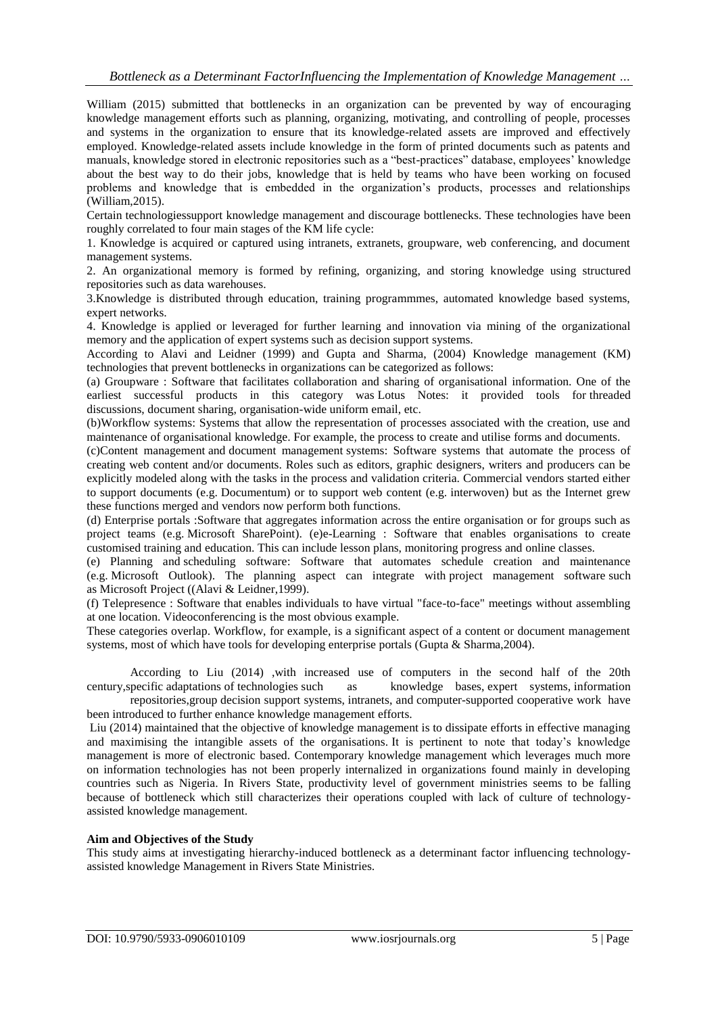William (2015) submitted that bottlenecks in an organization can be prevented by way of encouraging knowledge management efforts such as planning, organizing, motivating, and controlling of people, processes and systems in the organization to ensure that its knowledge-related assets are improved and effectively employed. Knowledge-related assets include knowledge in the form of printed documents such as patents and manuals, knowledge stored in electronic repositories such as a "best-practices" database, employees" knowledge about the best way to do their jobs, knowledge that is held by teams who have been working on focused problems and knowledge that is embedded in the organization"s products, processes and relationships (William,2015).

Certain technologiessupport knowledge management and discourage bottlenecks. These technologies have been roughly correlated to four main stages of the KM life cycle:

1. Knowledge is acquired or captured using intranets, extranets, groupware, web conferencing, and document management systems.

2. An organizational memory is formed by refining, organizing, and storing knowledge using structured repositories such as data warehouses.

3.Knowledge is distributed through education, training programmmes, automated knowledge based systems, expert networks.

4. Knowledge is applied or leveraged for further learning and innovation via mining of the organizational memory and the application of expert systems such as decision support systems.

According to Alavi and Leidner (1999) and Gupta and Sharma, (2004) Knowledge management (KM) technologies that prevent bottlenecks in organizations can be categorized as follows:

(a) [Groupware](https://en.wikipedia.org/wiki/Groupware) : Software that facilitates collaboration and sharing of organisational information. One of the earliest successful products in this category was [Lotus Notes:](https://en.wikipedia.org/wiki/Lotus_Notes) it provided tools for [threaded](https://en.wikipedia.org/wiki/Threaded_discussion)  [discussions,](https://en.wikipedia.org/wiki/Threaded_discussion) [document sharing,](https://en.wikipedia.org/wiki/Document_sharing) organisation-wide uniform email, etc.

(b[\)Workflow systems:](https://en.wikipedia.org/wiki/Workflow_system) Systems that allow the representation of processes associated with the creation, use and maintenance of organisational knowledge. For example, the process to create and utilise forms and documents.

(c[\)Content management](https://en.wikipedia.org/wiki/Content_management) and [document management](https://en.wikipedia.org/wiki/Document_management) systems: Software systems that automate the process of creating web content and/or documents. Roles such as editors, graphic designers, writers and producers can be explicitly modeled along with the tasks in the process and validation criteria. Commercial vendors started either to support documents (e.g. [Documentum\)](https://en.wikipedia.org/wiki/Documentum) or to support web content (e.g. [interwoven\)](https://en.wikipedia.org/wiki/Interwoven) but as the Internet grew these functions merged and vendors now perform both functions.

(d) [Enterprise portals](https://en.wikipedia.org/wiki/Enterprise_portal) :Software that aggregates information across the entire organisation or for groups such as project teams (e.g. [Microsoft SharePoint\)](https://en.wikipedia.org/wiki/Microsoft_SharePoint). (e[\)e-Learning](https://en.wikipedia.org/wiki/ELearning) : Software that enables organisations to create customised training and education. This can include lesson plans, monitoring progress and online classes.

(e) Planning and [scheduling software:](https://en.wikipedia.org/wiki/Appointment_scheduling_software) Software that automates schedule creation and maintenance (e.g. [Microsoft Outlook\)](https://en.wikipedia.org/wiki/Microsoft_Outlook). The planning aspect can integrate with [project management software](https://en.wikipedia.org/wiki/Project_management_software) such as [Microsoft Project](https://en.wikipedia.org/wiki/Microsoft_Project) ((Alavi & Leidner,1999).

(f) [Telepresence](https://en.wikipedia.org/wiki/Telepresence) : Software that enables individuals to have virtual "face-to-face" meetings without assembling at one location. Videoconferencing is the most obvious example.

These categories overlap. Workflow, for example, is a significant aspect of a content or document management systems, most of which have tools for developing enterprise portals (Gupta & Sharma,2004).

According to Liu (2014) ,with increased use of computers in the second half of the 20th century,specific [adaptations](https://en.wikipedia.org/wiki/Adaptation) of technologies such as [knowledge bases,](https://en.wikipedia.org/wiki/Knowledge_base) [expert systems,](https://en.wikipedia.org/wiki/Expert_system) [information](https://en.wikipedia.org/wiki/Information_repository) [repositories,](https://en.wikipedia.org/wiki/Information_repository)group [decision support systems,](https://en.wikipedia.org/wiki/Decision_support_system) [intranets,](https://en.wikipedia.org/wiki/Intranet) and [computer-supported cooperative work](https://en.wikipedia.org/wiki/Computer-supported_cooperative_work) have

been introduced to further enhance knowledge management efforts.

Liu (2014) maintained that the objective of knowledge management is to dissipate efforts in effective managing and maximising the intangible assets of the organisations. It is pertinent to note that today"s knowledge management is more of electronic based. Contemporary knowledge management which leverages much more on information technologies has not been properly internalized in organizations found mainly in developing countries such as Nigeria. In Rivers State, productivity level of government ministries seems to be falling because of bottleneck which still characterizes their operations coupled with lack of culture of technologyassisted knowledge management.

#### **Aim and Objectives of the Study**

This study aims at investigating hierarchy-induced bottleneck as a determinant factor influencing technologyassisted knowledge Management in Rivers State Ministries.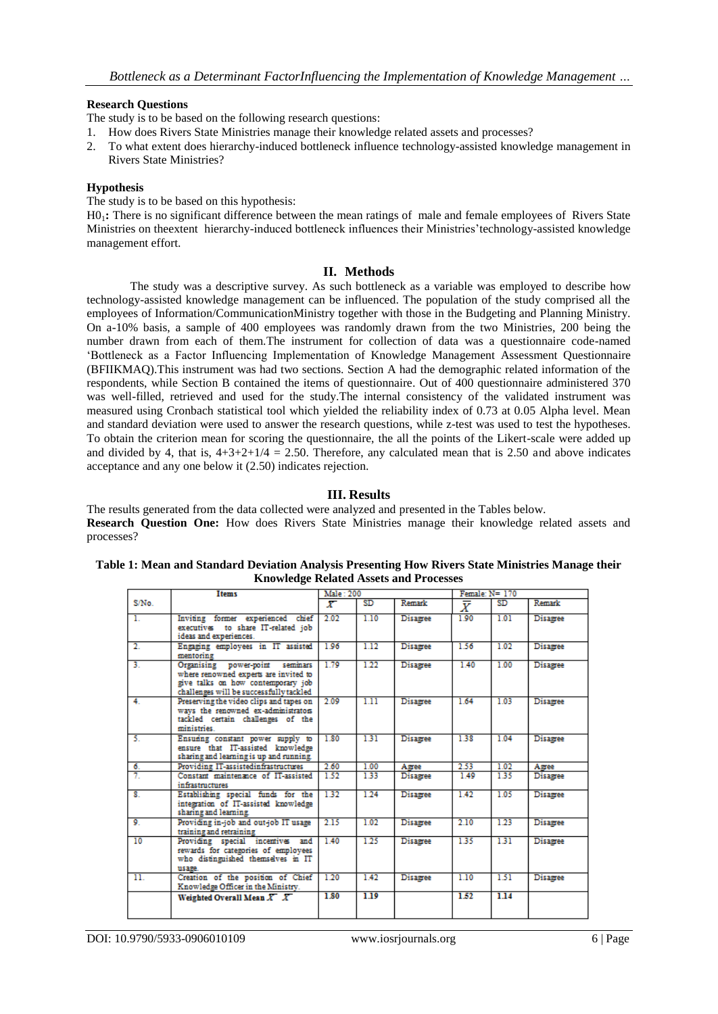#### **Research Questions**

The study is to be based on the following research questions:

- 1. How does Rivers State Ministries manage their knowledge related assets and processes?
- 2. To what extent does hierarchy-induced bottleneck influence technology-assisted knowledge management in Rivers State Ministries?

#### **Hypothesis**

The study is to be based on this hypothesis:

H01**:** There is no significant difference between the mean ratings of male and female employees of Rivers State Ministries on theextent hierarchy-induced bottleneck influences their Ministries"technology-assisted knowledge management effort.

#### **II. Methods**

The study was a descriptive survey. As such bottleneck as a variable was employed to describe how technology-assisted knowledge management can be influenced. The population of the study comprised all the employees of Information/CommunicationMinistry together with those in the Budgeting and Planning Ministry. On a-10% basis, a sample of 400 employees was randomly drawn from the two Ministries, 200 being the number drawn from each of them.The instrument for collection of data was a questionnaire code-named "Bottleneck as a Factor Influencing Implementation of Knowledge Management Assessment Questionnaire (BFIIKMAQ).This instrument was had two sections. Section A had the demographic related information of the respondents, while Section B contained the items of questionnaire. Out of 400 questionnaire administered 370 was well-filled, retrieved and used for the study.The internal consistency of the validated instrument was measured using Cronbach statistical tool which yielded the reliability index of 0.73 at 0.05 Alpha level. Mean and standard deviation were used to answer the research questions, while z-test was used to test the hypotheses. To obtain the criterion mean for scoring the questionnaire, the all the points of the Likert-scale were added up and divided by 4, that is,  $4+3+2+1/4 = 2.50$ . Therefore, any calculated mean that is 2.50 and above indicates acceptance and any one below it (2.50) indicates rejection.

# **III. Results**

The results generated from the data collected were analyzed and presented in the Tables below. **Research Question One:** How does Rivers State Ministries manage their knowledge related assets and processes?

#### **Table 1: Mean and Standard Deviation Analysis Presenting How Rivers State Ministries Manage their Knowledge Related Assets and Processes**

|                           | <b>Items</b>                                                                                                                                              | <b>Male: 200</b> |      |                 | Female: N= 170 |      |          |
|---------------------------|-----------------------------------------------------------------------------------------------------------------------------------------------------------|------------------|------|-----------------|----------------|------|----------|
| S/N <sub>0</sub>          |                                                                                                                                                           | x.               | SD   | Remark          | $\bar{X}$      | SD.  | Remark   |
| $\mathbf{L}$              | Inviting former experienced chief<br>executives to share IT-related job<br>ideas and experiences.                                                         | 2.02             | 1.10 | <b>Disagree</b> | 1.90           | 1.01 | Disagree |
| 2.                        | Engaging employees in IT assisted<br>mentoring                                                                                                            | 1.96             | 1.12 | Disagree        | 1.56           | 1.02 | Disagree |
| 3.                        | Organising power-point seminars<br>where renowned experts are invited to<br>give talks on how contemporary job<br>challenges will be successfully tackled | 1.79             | 1.22 | Disagree        | 1.40           | 1.00 | Disagree |
| 4.                        | Preserving the video clips and tapes on<br>ways the renowned ex-administrators<br>tackled certain challenges of the<br>ministries.                        | 2.09             | 1.11 | Disagree        | 1.64           | 1.03 | Disagree |
| -5.                       | Ensuring constant power supply to<br>ensure that IT-assisted knowledge<br>sharing and learning is up and running.                                         | 1.80             | 131  | Disagree        | 1.38           | 1.04 | Disagree |
| 6.                        | Providing IT-assistedinfrastructures                                                                                                                      | 2.60             | 1.00 | Agree           | 2.53           | 1.02 | Agree    |
| 7.                        | Constant maintenance of IT-assisted<br>infrastructures                                                                                                    | 1.52             | 1.33 | <b>Disagree</b> | 1.49           | 1.35 | Disagree |
| $\overline{\mathbf{8}}$ . | Establishing special funds for the<br>integration of IT-assisted knowledge<br>sharing and learning.                                                       | 1.32             | 1.24 | Disagree        | 1.42           | 1.05 | Disagree |
| 9.                        | Providing in-job and out-job IT usage<br>training and retraining                                                                                          | 2.15             | 1.02 | Disagree        | 2.10           | 1.23 | Disagree |
| 10                        | Providing special incentives and<br>rewards for categories of employees<br>who distinguished themselves in IT<br>usage.                                   | 1.40             | 1.25 | Disagree        | 1.35           | 1.31 | Disagree |
| $\overline{\mathbf{11}}$  | Creation of the position of Chief<br>Knowledge Officer in the Ministry.                                                                                   | 1.20             | 1.42 | Disagree        | 1.10           | 1.51 | Disagree |
|                           | Weighted Overall Mean $X \, X$                                                                                                                            | 1.80             | 1.19 |                 | 1.52           | 1.14 |          |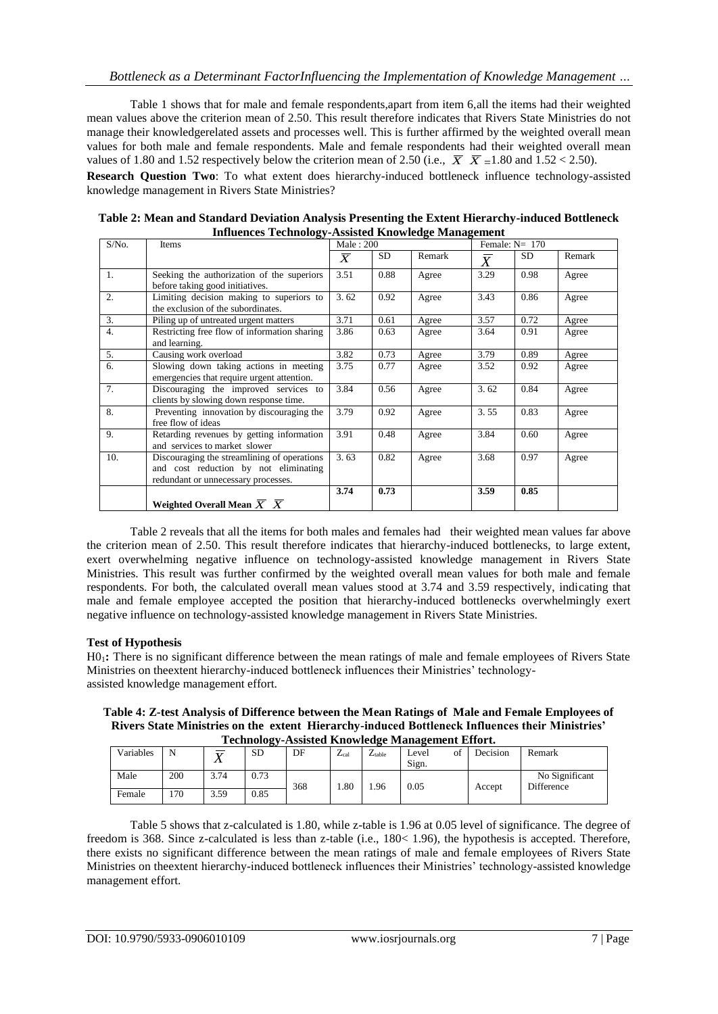Table 1 shows that for male and female respondents,apart from item 6,all the items had their weighted mean values above the criterion mean of 2.50. This result therefore indicates that Rivers State Ministries do not manage their knowledgerelated assets and processes well. This is further affirmed by the weighted overall mean values for both male and female respondents. Male and female respondents had their weighted overall mean values of 1.80 and 1.52 respectively below the criterion mean of 2.50 (i.e.,  $\overline{X}$   $\overline{X}$  =1.80 and 1.52 < 2.50).

**Research Question Two**: To what extent does hierarchy-induced bottleneck influence technology-assisted knowledge management in Rivers State Ministries?

| $S/N0$ .         | ov.<br>Items                                                                                                                | Male: 200 |           |        | Female: $N = 170$ |      |        |
|------------------|-----------------------------------------------------------------------------------------------------------------------------|-----------|-----------|--------|-------------------|------|--------|
|                  |                                                                                                                             | $\bar{X}$ | <b>SD</b> | Remark | $\overline{X}$    | SD.  | Remark |
| 1.               | Seeking the authorization of the superiors<br>before taking good initiatives.                                               | 3.51      | 0.88      | Agree  | 3.29              | 0.98 | Agree  |
| 2.               | Limiting decision making to superiors to<br>the exclusion of the subordinates.                                              | 3.62      | 0.92      | Agree  | 3.43              | 0.86 | Agree  |
| 3.               | Piling up of untreated urgent matters                                                                                       | 3.71      | 0.61      | Agree  | 3.57              | 0.72 | Agree  |
| $\overline{4}$ . | Restricting free flow of information sharing<br>and learning.                                                               | 3.86      | 0.63      | Agree  | 3.64              | 0.91 | Agree  |
| 5.               | Causing work overload                                                                                                       | 3.82      | 0.73      | Agree  | 3.79              | 0.89 | Agree  |
| 6.               | Slowing down taking actions in meeting<br>emergencies that require urgent attention.                                        | 3.75      | 0.77      | Agree  | 3.52              | 0.92 | Agree  |
| 7.               | Discouraging the improved services to<br>clients by slowing down response time.                                             | 3.84      | 0.56      | Agree  | 3.62              | 0.84 | Agree  |
| 8.               | Preventing innovation by discouraging the<br>free flow of ideas                                                             | 3.79      | 0.92      | Agree  | 3.55              | 0.83 | Agree  |
| 9.               | Retarding revenues by getting information<br>and services to market slower                                                  | 3.91      | 0.48      | Agree  | 3.84              | 0.60 | Agree  |
| 10.              | Discouraging the streamlining of operations<br>and cost reduction by not eliminating<br>redundant or unnecessary processes. | 3.63      | 0.82      | Agree  | 3.68              | 0.97 | Agree  |
|                  | Weighted Overall Mean $X \, X$                                                                                              | 3.74      | 0.73      |        | 3.59              | 0.85 |        |

**Table 2: Mean and Standard Deviation Analysis Presenting the Extent Hierarchy-induced Bottleneck Influences Technology-Assisted Knowledge Management**

Table 2 reveals that all the items for both males and females had their weighted mean values far above the criterion mean of 2.50. This result therefore indicates that hierarchy-induced bottlenecks, to large extent, exert overwhelming negative influence on technology-assisted knowledge management in Rivers State Ministries. This result was further confirmed by the weighted overall mean values for both male and female respondents. For both, the calculated overall mean values stood at 3.74 and 3.59 respectively, indicating that male and female employee accepted the position that hierarchy-induced bottlenecks overwhelmingly exert negative influence on technology-assisted knowledge management in Rivers State Ministries.

# **Test of Hypothesis**

H01**:** There is no significant difference between the mean ratings of male and female employees of Rivers State Ministries on theextent hierarchy-induced bottleneck influences their Ministries' technologyassisted knowledge management effort.

**Table 4: Z-test Analysis of Difference between the Mean Ratings of Male and Female Employees of Rivers State Ministries on the extent Hierarchy-induced Bottleneck Influences their Ministries' Technology-Assisted Knowledge Management Effort.**

| Technology-Assisted Knowledge Management Effort. |     |                      |           |     |                           |             |                       |          |                              |  |
|--------------------------------------------------|-----|----------------------|-----------|-----|---------------------------|-------------|-----------------------|----------|------------------------------|--|
| Variables                                        | N   | $\overline{17}$<br>∡ | <b>SD</b> | DF  | $\mathbf{z}$<br>$L_{cal}$ | $L_{table}$ | of<br>I evel<br>Sign. | Decision | Remark                       |  |
| Male                                             | 200 | 3.74                 | 0.73      | 368 | .80                       | .96         | 0.05                  | Accept   | No Significant<br>Difference |  |
| Female                                           | 170 | 3.59                 | 0.85      |     |                           |             |                       |          |                              |  |

Table 5 shows that z-calculated is 1.80, while z-table is 1.96 at 0.05 level of significance. The degree of freedom is 368. Since z-calculated is less than z-table (i.e., 180< 1.96), the hypothesis is accepted. Therefore, there exists no significant difference between the mean ratings of male and female employees of Rivers State Ministries on theextent hierarchy-induced bottleneck influences their Ministries" technology-assisted knowledge management effort.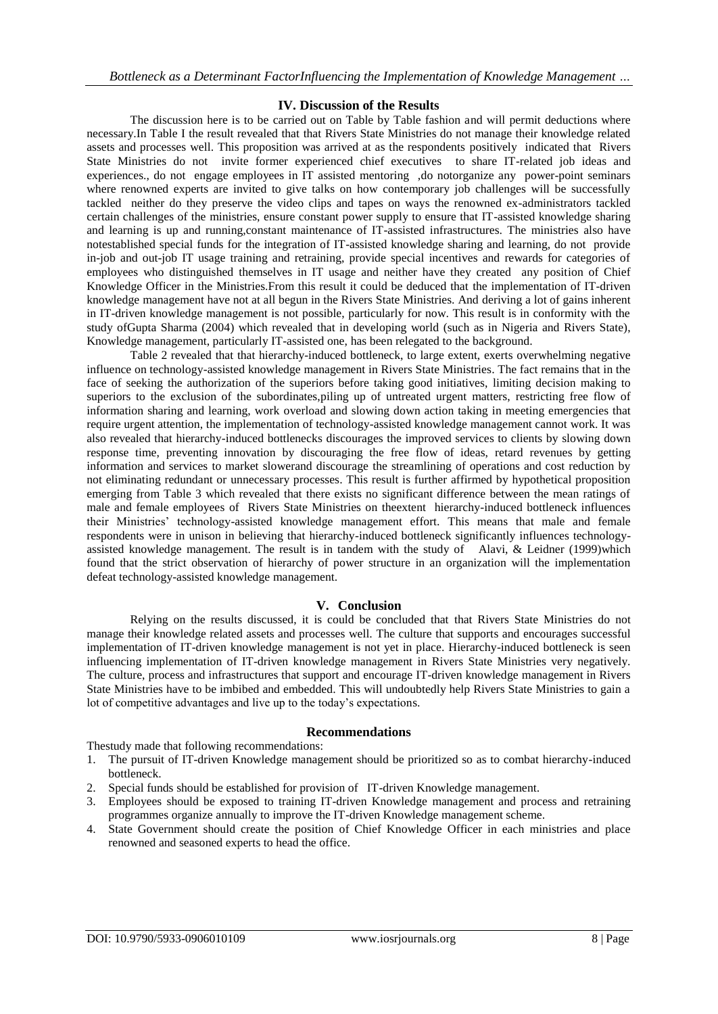# **IV. Discussion of the Results**

The discussion here is to be carried out on Table by Table fashion and will permit deductions where necessary.In Table I the result revealed that that Rivers State Ministries do not manage their knowledge related assets and processes well. This proposition was arrived at as the respondents positively indicated that Rivers State Ministries do not invite former experienced chief executives to share IT-related job ideas and experiences., do not engage employees in IT assisted mentoring ,do notorganize any power-point seminars where renowned experts are invited to give talks on how contemporary job challenges will be successfully tackled neither do they preserve the video clips and tapes on ways the renowned ex-administrators tackled certain challenges of the ministries, ensure constant power supply to ensure that IT-assisted knowledge sharing and learning is up and running,constant maintenance of IT-assisted infrastructures. The ministries also have notestablished special funds for the integration of IT-assisted knowledge sharing and learning, do not provide in-job and out-job IT usage training and retraining, provide special incentives and rewards for categories of employees who distinguished themselves in IT usage and neither have they created any position of Chief Knowledge Officer in the Ministries.From this result it could be deduced that the implementation of IT-driven knowledge management have not at all begun in the Rivers State Ministries. And deriving a lot of gains inherent in IT-driven knowledge management is not possible, particularly for now. This result is in conformity with the study ofGupta Sharma (2004) which revealed that in developing world (such as in Nigeria and Rivers State), Knowledge management, particularly IT-assisted one, has been relegated to the background.

Table 2 revealed that that hierarchy-induced bottleneck, to large extent, exerts overwhelming negative influence on technology-assisted knowledge management in Rivers State Ministries. The fact remains that in the face of seeking the authorization of the superiors before taking good initiatives, limiting decision making to superiors to the exclusion of the subordinates,piling up of untreated urgent matters, restricting free flow of information sharing and learning, work overload and slowing down action taking in meeting emergencies that require urgent attention, the implementation of technology-assisted knowledge management cannot work. It was also revealed that hierarchy-induced bottlenecks discourages the improved services to clients by slowing down response time, preventing innovation by discouraging the free flow of ideas, retard revenues by getting information and services to market slowerand discourage the streamlining of operations and cost reduction by not eliminating redundant or unnecessary processes. This result is further affirmed by hypothetical proposition emerging from Table 3 which revealed that there exists no significant difference between the mean ratings of male and female employees of Rivers State Ministries on theextent hierarchy-induced bottleneck influences their Ministries' technology-assisted knowledge management effort. This means that male and female respondents were in unison in believing that hierarchy-induced bottleneck significantly influences technologyassisted knowledge management. The result is in tandem with the study of Alavi, & Leidner (1999)which found that the strict observation of hierarchy of power structure in an organization will the implementation defeat technology-assisted knowledge management.

#### **V. Conclusion**

Relying on the results discussed, it is could be concluded that that Rivers State Ministries do not manage their knowledge related assets and processes well. The culture that supports and encourages successful implementation of IT-driven knowledge management is not yet in place. Hierarchy-induced bottleneck is seen influencing implementation of IT-driven knowledge management in Rivers State Ministries very negatively. The culture, process and infrastructures that support and encourage IT-driven knowledge management in Rivers State Ministries have to be imbibed and embedded. This will undoubtedly help Rivers State Ministries to gain a lot of competitive advantages and live up to the today"s expectations.

#### **Recommendations**

Thestudy made that following recommendations:

- 1. The pursuit of IT-driven Knowledge management should be prioritized so as to combat hierarchy-induced bottleneck.
- 2. Special funds should be established for provision of IT-driven Knowledge management.
- 3. Employees should be exposed to training IT-driven Knowledge management and process and retraining programmes organize annually to improve the IT-driven Knowledge management scheme.
- 4. State Government should create the position of Chief Knowledge Officer in each ministries and place renowned and seasoned experts to head the office.